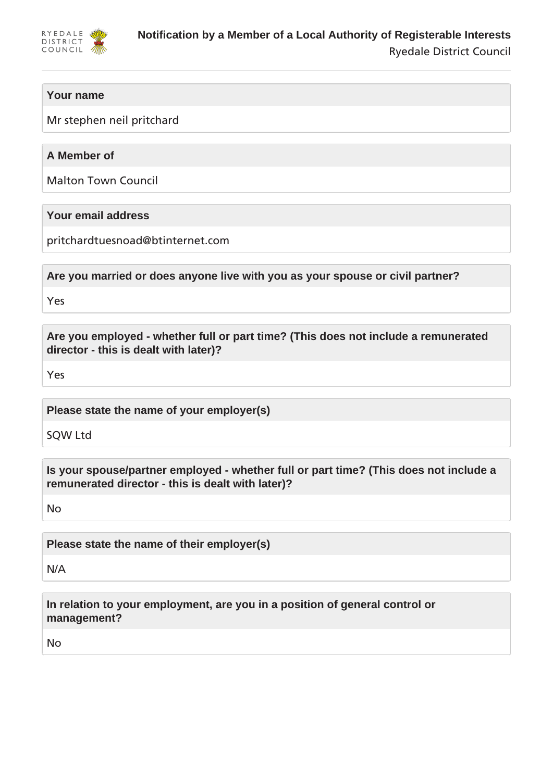

# **Your name**

Mr stephen neil pritchard

# **A Member of**

Malton Town Council

## **Your email address**

pritchardtuesnoad@btinternet.com

**Are you married or does anyone live with you as your spouse or civil partner?**

Yes

**Are you employed - whether full or part time? (This does not include a remunerated director - this is dealt with later)?**

Yes

**Please state the name of your employer(s)**

SQW Ltd

**Is your spouse/partner employed - whether full or part time? (This does not include a remunerated director - this is dealt with later)?**

No

**Please state the name of their employer(s)**

N/A

**In relation to your employment, are you in a position of general control or management?**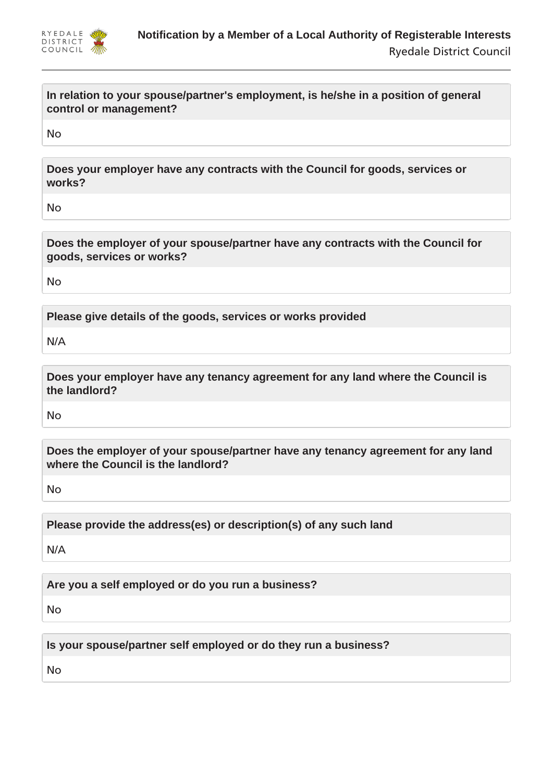

**In relation to your spouse/partner's employment, is he/she in a position of general control or management?**

No

**Does your employer have any contracts with the Council for goods, services or works?**

No

**Does the employer of your spouse/partner have any contracts with the Council for goods, services or works?**

No

**Please give details of the goods, services or works provided**

N/A

**Does your employer have any tenancy agreement for any land where the Council is the landlord?**

No

**Does the employer of your spouse/partner have any tenancy agreement for any land where the Council is the landlord?**

No

**Please provide the address(es) or description(s) of any such land**

N/A

**Are you a self employed or do you run a business?**

No

**Is your spouse/partner self employed or do they run a business?**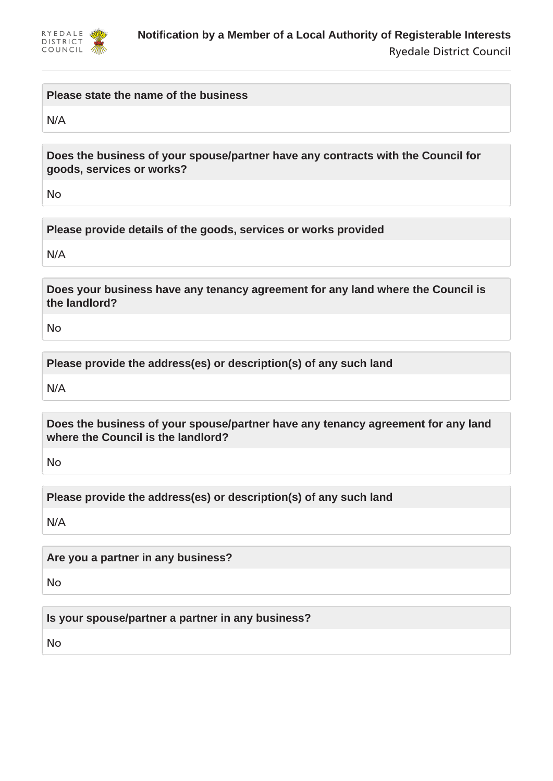

#### **Please state the name of the business**

N/A

**Does the business of your spouse/partner have any contracts with the Council for goods, services or works?**

No

**Please provide details of the goods, services or works provided**

N/A

**Does your business have any tenancy agreement for any land where the Council is the landlord?**

No

**Please provide the address(es) or description(s) of any such land**

N/A

**Does the business of your spouse/partner have any tenancy agreement for any land where the Council is the landlord?**

No

**Please provide the address(es) or description(s) of any such land**

N/A

**Are you a partner in any business?**

No

**Is your spouse/partner a partner in any business?**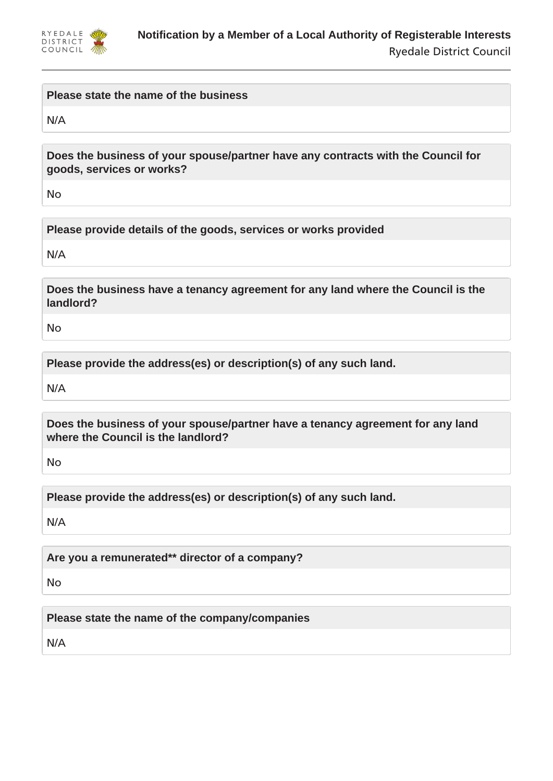

#### **Please state the name of the business**

N/A

**Does the business of your spouse/partner have any contracts with the Council for goods, services or works?**

No

**Please provide details of the goods, services or works provided**

N/A

**Does the business have a tenancy agreement for any land where the Council is the landlord?**

No

**Please provide the address(es) or description(s) of any such land.**

N/A

**Does the business of your spouse/partner have a tenancy agreement for any land where the Council is the landlord?**

No

**Please provide the address(es) or description(s) of any such land.**

N/A

**Are you a remunerated\*\* director of a company?**

No

**Please state the name of the company/companies**

N/A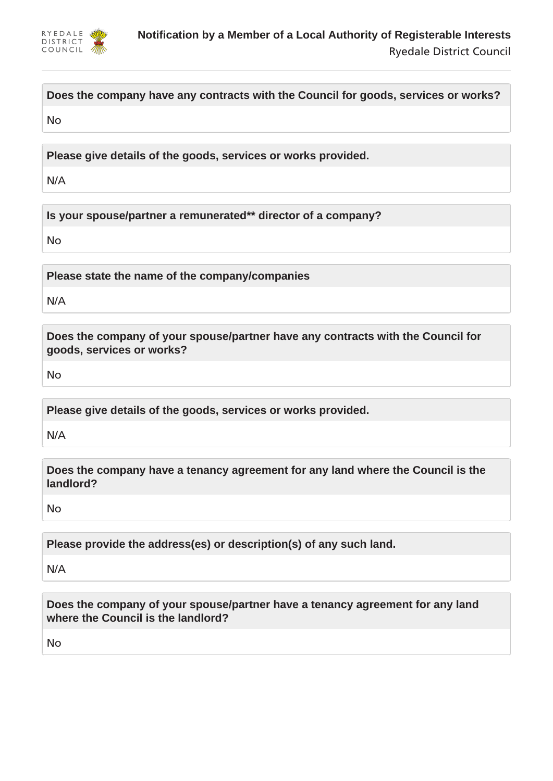

**Does the company have any contracts with the Council for goods, services or works?**

No

**Please give details of the goods, services or works provided.**

N/A

**Is your spouse/partner a remunerated\*\* director of a company?**

No

**Please state the name of the company/companies**

N/A

**Does the company of your spouse/partner have any contracts with the Council for goods, services or works?**

No

**Please give details of the goods, services or works provided.**

N/A

**Does the company have a tenancy agreement for any land where the Council is the landlord?**

No

**Please provide the address(es) or description(s) of any such land.**

N/A

**Does the company of your spouse/partner have a tenancy agreement for any land where the Council is the landlord?**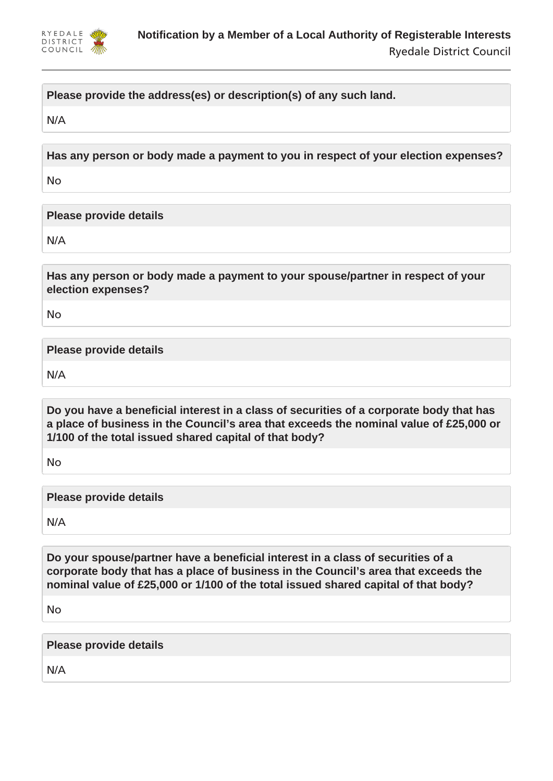

# **Please provide the address(es) or description(s) of any such land.**

N/A

**Has any person or body made a payment to you in respect of your election expenses?**

No

**Please provide details**

N/A

**Has any person or body made a payment to your spouse/partner in respect of your election expenses?**

No

**Please provide details**

N/A

**Do you have a beneficial interest in a class of securities of a corporate body that has a place of business in the Council's area that exceeds the nominal value of £25,000 or 1/100 of the total issued shared capital of that body?**

No

**Please provide details**

N/A

**Do your spouse/partner have a beneficial interest in a class of securities of a corporate body that has a place of business in the Council's area that exceeds the nominal value of £25,000 or 1/100 of the total issued shared capital of that body?**

No

**Please provide details**

N/A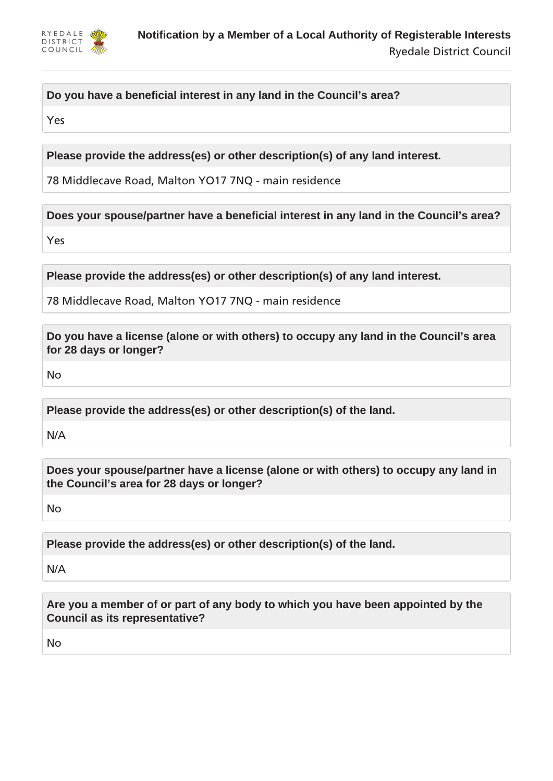

# **Do you have a beneficial interest in any land in the Council's area?**

Yes

**Please provide the address(es) or other description(s) of any land interest.**

78 Middlecave Road, Malton YO17 7NQ - main residence

**Does your spouse/partner have a beneficial interest in any land in the Council's area?**

Yes

**Please provide the address(es) or other description(s) of any land interest.**

78 Middlecave Road, Malton YO17 7NQ - main residence

**Do you have a license (alone or with others) to occupy any land in the Council's area for 28 days or longer?**

No

**Please provide the address(es) or other description(s) of the land.**

N/A

**Does your spouse/partner have a license (alone or with others) to occupy any land in the Council's area for 28 days or longer?**

No

**Please provide the address(es) or other description(s) of the land.**

N/A

**Are you a member of or part of any body to which you have been appointed by the Council as its representative?**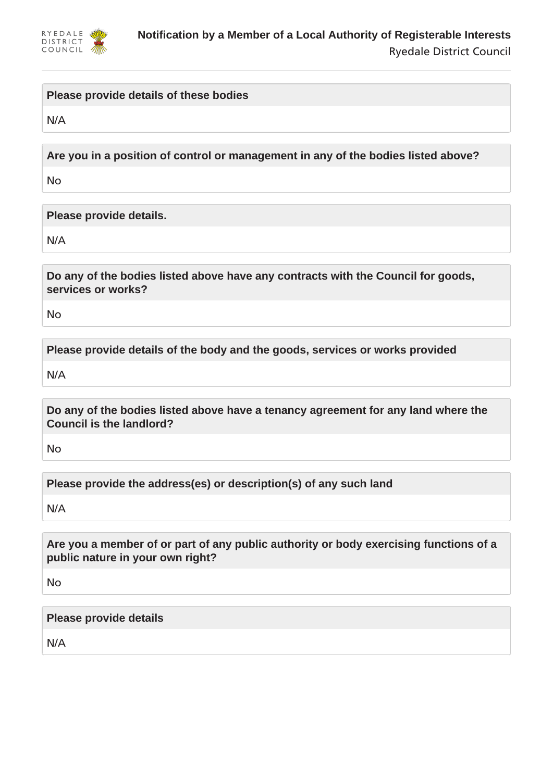

## **Please provide details of these bodies**

N/A

**Are you in a position of control or management in any of the bodies listed above?**

No

**Please provide details.**

N/A

**Do any of the bodies listed above have any contracts with the Council for goods, services or works?**

No

**Please provide details of the body and the goods, services or works provided**

N/A

**Do any of the bodies listed above have a tenancy agreement for any land where the Council is the landlord?**

No

**Please provide the address(es) or description(s) of any such land**

N/A

**Are you a member of or part of any public authority or body exercising functions of a public nature in your own right?**

No

**Please provide details**

N/A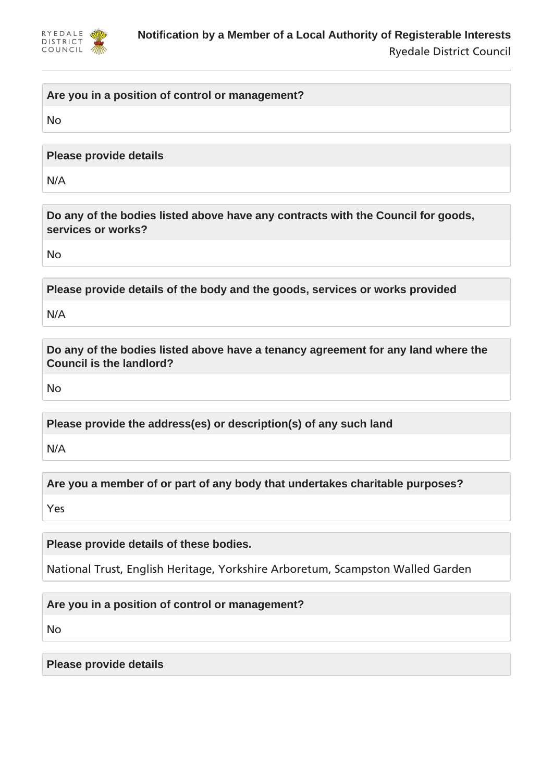

## **Are you in a position of control or management?**

No

**Please provide details**

N/A

**Do any of the bodies listed above have any contracts with the Council for goods, services or works?**

No

**Please provide details of the body and the goods, services or works provided**

N/A

**Do any of the bodies listed above have a tenancy agreement for any land where the Council is the landlord?**

No

**Please provide the address(es) or description(s) of any such land**

N/A

**Are you a member of or part of any body that undertakes charitable purposes?**

Yes

**Please provide details of these bodies.**

National Trust, English Heritage, Yorkshire Arboretum, Scampston Walled Garden

**Are you in a position of control or management?**

No

**Please provide details**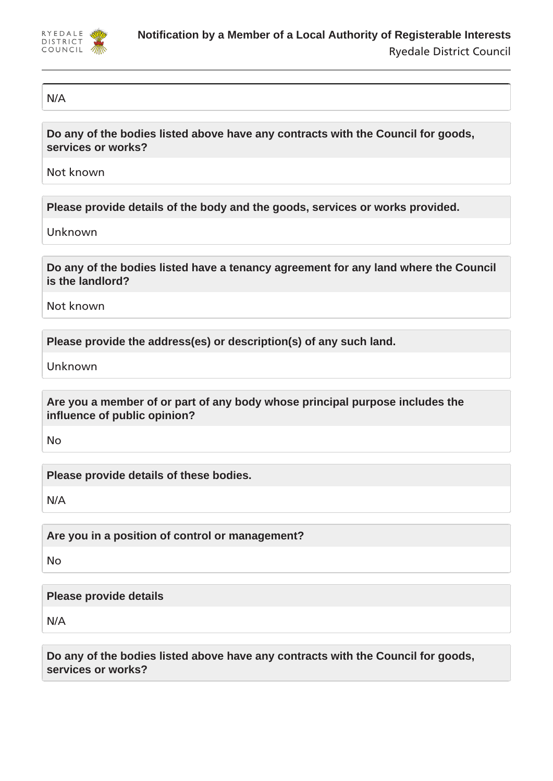

#### N/A

**Do any of the bodies listed above have any contracts with the Council for goods, services or works?**

Not known

**Please provide details of the body and the goods, services or works provided.**

Unknown

**Do any of the bodies listed have a tenancy agreement for any land where the Council is the landlord?**

Not known

**Please provide the address(es) or description(s) of any such land.**

Unknown

**Are you a member of or part of any body whose principal purpose includes the influence of public opinion?**

No

**Please provide details of these bodies.**

N/A

**Are you in a position of control or management?**

No

# **Please provide details**

N/A

**Do any of the bodies listed above have any contracts with the Council for goods, services or works?**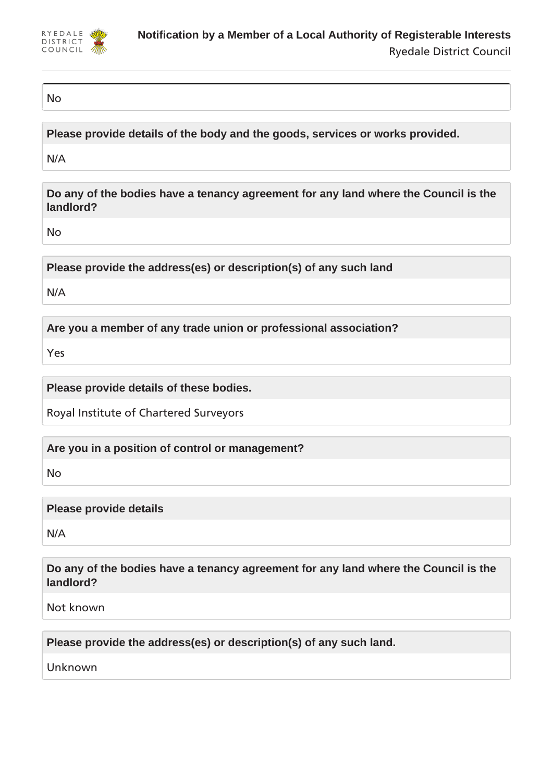

### No

**Please provide details of the body and the goods, services or works provided.**

N/A

**Do any of the bodies have a tenancy agreement for any land where the Council is the landlord?**

No

**Please provide the address(es) or description(s) of any such land**

N/A

**Are you a member of any trade union or professional association?**

Yes

**Please provide details of these bodies.**

Royal Institute of Chartered Surveyors

**Are you in a position of control or management?**

No

**Please provide details**

N/A

**Do any of the bodies have a tenancy agreement for any land where the Council is the landlord?**

Not known

**Please provide the address(es) or description(s) of any such land.**

Unknown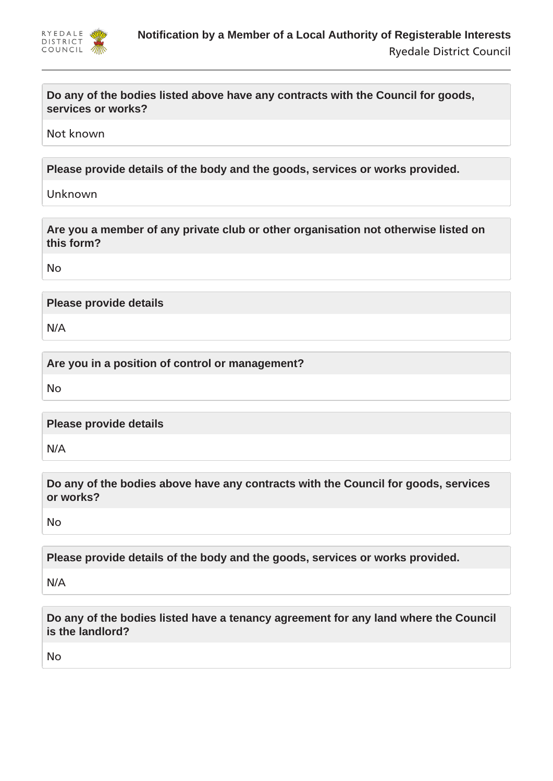

**Do any of the bodies listed above have any contracts with the Council for goods, services or works?**

Not known

**Please provide details of the body and the goods, services or works provided.**

Unknown

**Are you a member of any private club or other organisation not otherwise listed on this form?**

No

**Please provide details**

N/A

**Are you in a position of control or management?**

No

**Please provide details**

N/A

**Do any of the bodies above have any contracts with the Council for goods, services or works?**

No

**Please provide details of the body and the goods, services or works provided.**

N/A

**Do any of the bodies listed have a tenancy agreement for any land where the Council is the landlord?**